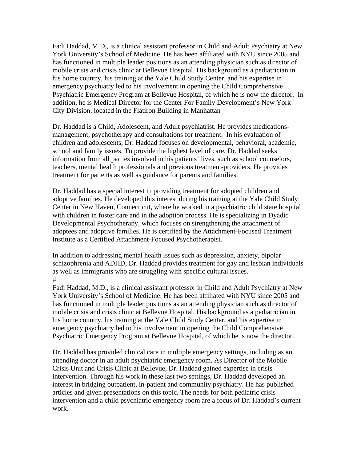Fadi Haddad, M.D., is a clinical assistant professor in Child and Adult Psychiatry at New York University's School of Medicine. He has been affiliated with NYU since 2005 and has functioned in multiple leader positions as an attending physician such as director of mobile crisis and crisis clinic at Bellevue Hospital. His background as a pediatrician in his home country, his training at the Yale Child Study Center, and his expertise in emergency psychiatry led to his involvement in opening the Child Comprehensive Psychiatric Emergency Program at Bellevue Hospital, of which he is now the director. In addition, he is Medical Director for the Center For Family Development's New York City Division, located in the Flatiron Building in Manhattan

Dr. Haddad is a Child, Adolescent, and Adult psychiatrist. He provides medicationsmanagement, psychotherapy and consultations for treatment. In his evaluation of children and adolescents, Dr. Haddad focuses on developmental, behavioral, academic, school and family issues. To provide the highest level of care, Dr. Haddad seeks information from all parties involved in his patients' lives, such as school counselors, teachers, mental health professionals and previous treatment-providers. He provides treatment for patients as well as guidance for parents and families.

Dr. Haddad has a special interest in providing treatment for adopted children and adoptive families. He developed this interest during his training at the Yale Child Study Center in New Haven, Connecticut, where he worked in a psychiatric child state hospital with children in foster care and in the adoption process. He is specializing in Dyadic Developmental Psychotherapy, which focuses on strengthening the attachment of adoptees and adoptive families. He is certified by the Attachment-Focused Treatment Institute as a Certified Attachment-Focused Psychotherapist.

In addition to addressing mental health issues such as depression, anxiety, bipolar schizophrenia and ADHD, Dr. Haddad provides treatment for gay and lesbian individuals as well as immigrants who are struggling with specific cultural issues.  $#$ 

Fadi Haddad, M.D., is a clinical assistant professor in Child and Adult Psychiatry at New York University's School of Medicine. He has been affiliated with NYU since 2005 and has functioned in multiple leader positions as an attending physician such as director of mobile crisis and crisis clinic at Bellevue Hospital. His background as a pediatrician in his home country, his training at the Yale Child Study Center, and his expertise in emergency psychiatry led to his involvement in opening the Child Comprehensive Psychiatric Emergency Program at Bellevue Hospital, of which he is now the director.

Dr. Haddad has provided clinical care in multiple emergency settings, including as an attending doctor in an adult psychiatric emergency room. As Director of the Mobile Crisis Unit and Crisis Clinic at Bellevue, Dr. Haddad gained expertise in crisis intervention. Through his work in these last two settings, Dr. Haddad developed an interest in bridging outpatient, in-patient and community psychiatry. He has published articles and given presentations on this topic. The needs for both pediatric crisis intervention and a child psychiatric emergency room are a focus of Dr. Haddad's current work.